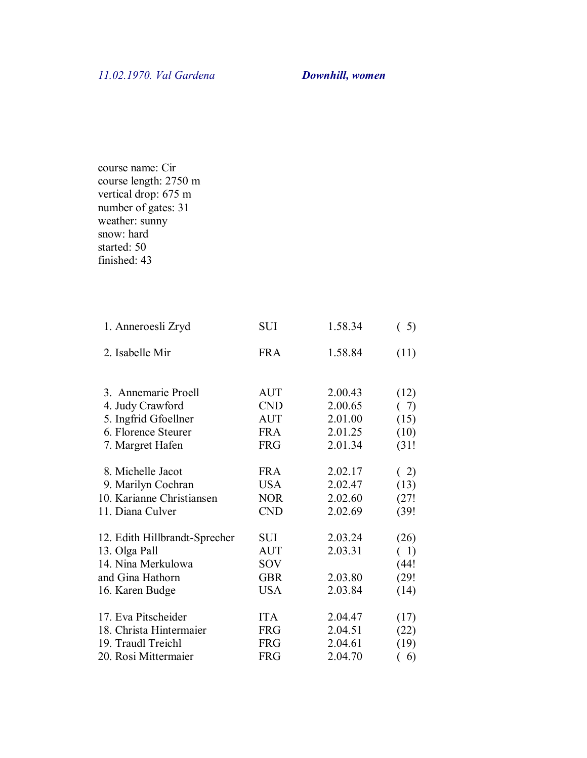course name: Cir course length: 2750 m vertical drop: 675 m number of gates: 31 weather: sunny snow: hard started: 50 finished: 43

| 1. Anneroesli Zryd            | <b>SUI</b> | 1.58.34 | (5)   |
|-------------------------------|------------|---------|-------|
| 2. Isabelle Mir               | <b>FRA</b> | 1.58.84 | (11)  |
|                               |            |         |       |
| 3. Annemarie Proell           | <b>AUT</b> | 2.00.43 | (12)  |
| 4. Judy Crawford              | <b>CND</b> | 2.00.65 | (7)   |
| 5. Ingfrid Gfoellner          | <b>AUT</b> | 2.01.00 | (15)  |
| 6. Florence Steurer           | <b>FRA</b> | 2.01.25 | (10)  |
| 7. Margret Hafen              | <b>FRG</b> | 2.01.34 | (31!  |
|                               |            |         |       |
| 8. Michelle Jacot             | <b>FRA</b> | 2.02.17 | (2)   |
| 9. Marilyn Cochran            | <b>USA</b> | 2.02.47 | (13)  |
| 10. Karianne Christiansen     | <b>NOR</b> | 2.02.60 | (27!  |
| 11. Diana Culver              | <b>CND</b> | 2.02.69 | (39!  |
|                               |            |         |       |
| 12. Edith Hillbrandt-Sprecher | SUI        | 2.03.24 | (26)  |
| 13. Olga Pall                 | <b>AUT</b> | 2.03.31 | (1)   |
| 14. Nina Merkulowa            | SOV        |         | (44!) |
| and Gina Hathorn              | <b>GBR</b> | 2.03.80 | (29!  |
| 16. Karen Budge               | <b>USA</b> | 2.03.84 | (14)  |
|                               |            |         |       |
| 17. Eva Pitscheider           | <b>ITA</b> | 2.04.47 | (17)  |
| 18. Christa Hintermaier       | <b>FRG</b> | 2.04.51 | (22)  |
| 19. Traudl Treichl            | <b>FRG</b> | 2.04.61 | (19)  |
| 20. Rosi Mittermaier          | <b>FRG</b> | 2.04.70 | 6)    |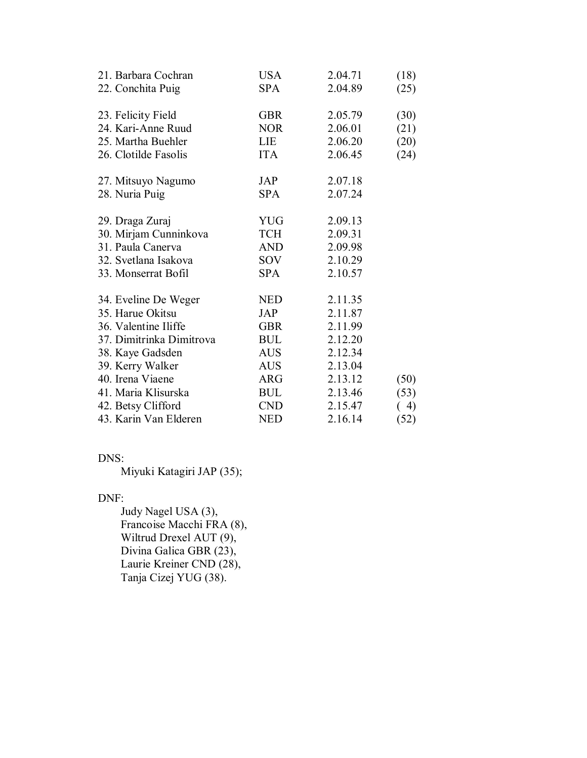| 21. Barbara Cochran<br>22. Conchita Puig | <b>USA</b><br><b>SPA</b> | 2.04.71<br>2.04.89 | (18)<br>(25) |
|------------------------------------------|--------------------------|--------------------|--------------|
| 23. Felicity Field                       | <b>GBR</b>               | 2.05.79            | (30)         |
| 24. Kari-Anne Ruud                       | <b>NOR</b>               | 2.06.01            | (21)         |
| 25. Martha Buehler                       | <b>LIE</b>               | 2.06.20            | (20)         |
| 26. Clotilde Fasolis                     | <b>ITA</b>               | 2.06.45            | (24)         |
| 27. Mitsuyo Nagumo                       | JAP                      | 2.07.18            |              |
| 28. Nuria Puig                           | <b>SPA</b>               | 2.07.24            |              |
| 29. Draga Zuraj                          | <b>YUG</b>               | 2.09.13            |              |
| 30. Mirjam Cunninkova                    | <b>TCH</b>               | 2.09.31            |              |
| 31. Paula Canerva                        | AND                      | 2.09.98            |              |
| 32. Svetlana Isakova                     | <b>SOV</b>               | 2.10.29            |              |
| 33. Monserrat Bofil                      | <b>SPA</b>               | 2.10.57            |              |
| 34. Eveline De Weger                     | <b>NED</b>               | 2.11.35            |              |
| 35. Harue Okitsu                         | <b>JAP</b>               | 2.11.87            |              |
| 36. Valentine Iliffe                     | <b>GBR</b>               | 2.11.99            |              |
| 37. Dimitrinka Dimitrova                 | <b>BUL</b>               | 2.12.20            |              |
| 38. Kaye Gadsden                         | AUS -                    | 2.12.34            |              |
| 39. Kerry Walker                         | <b>AUS</b>               | 2.13.04            |              |
| 40. Irena Viaene                         | ARG                      | 2.13.12            | (50)         |
| 41. Maria Klisurska                      | <b>BUL</b>               | 2.13.46            | (53)         |
| 42. Betsy Clifford                       | <b>CND</b>               | 2.15.47            | 4)           |
| 43. Karin Van Elderen                    | <b>NED</b>               | 2.16.14            | (52)         |

## DNS:

Miyuki Katagiri JAP (35);

## DNF:

 Judy Nagel USA (3), Francoise Macchi FRA (8), Wiltrud Drexel AUT (9), Divina Galica GBR (23), Laurie Kreiner CND (28), Tanja Cizej YUG (38).